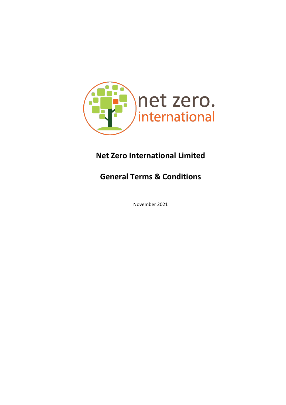

# **Net Zero International Limited**

# **General Terms & Conditions**

November 2021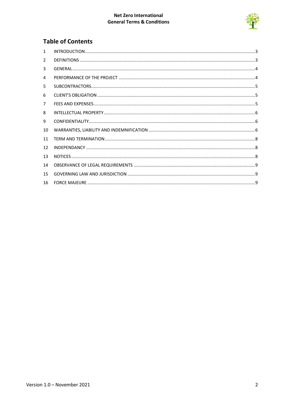#### Net Zero International **General Terms & Conditions**



## **Table of Contents**

| $\mathbf{1}$   |  |
|----------------|--|
| $\overline{2}$ |  |
| 3              |  |
| 4              |  |
| 5              |  |
| 6              |  |
| $\overline{7}$ |  |
| 8              |  |
| 9              |  |
| 10             |  |
| 11             |  |
| 12             |  |
| 13             |  |
| 14             |  |
| 15             |  |
| 16             |  |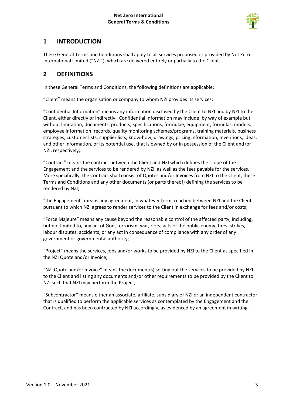

#### <span id="page-2-0"></span>**1 INTRODUCTION**

These General Terms and Conditions shall apply to all services proposed or provided by Net Zero International Limited ("NZI"), which are delivered entirely or partially to the Client.

#### <span id="page-2-1"></span>**2 DEFINITIONS**

In these General Terms and Conditions, the following definitions are applicable:

"Client" means the organisation or company to whom NZI provides its services;

"Confidential Information" means any information disclosed by the Client to NZI and by NZI to the Client, either directly or indirectly. Confidential Information may include, by way of example but without limitation, documents, products, specifications, formulae, equipment, formulas, models, employee information, records, quality monitoring schemes/programs, training materials, business strategies, customer lists, supplier lists, know-how, drawings, pricing information, inventions, ideas, and other information, or its potential use, that is owned by or in possession of the Client and/or NZI, respectively;.

"Contract" means the contract between the Client and NZI which defines the scope of the Engagement and the services to be rendered by NZI, as well as the fees payable for the services. More specifically, the Contract shall consist of Quotes and/or Invoices from NZI to the Client, these Terms and Conditions and any other documents (or parts thereof) defining the services to be rendered by NZI;

"the Engagement" means any agreement, in whatever form, reached between NZI and the Client pursuant to which NZI agrees to render services to the Client in exchange for fees and/or costs;

"Force Majeure" means any cause beyond the reasonable control of the affected party, including, but not limited to, any act of God, terrorism, war, riots, acts of the public enemy, fires, strikes, labour disputes, accidents, or any act in consequence of compliance with any order of any government or governmental authority;

"Project" means the services, jobs and/or works to be provided by NZI to the Client as specified in the NZI Quote and/or Invoice;

"NZI Quote and/or Invoice" means the document(s) setting out the services to be provided by NZI to the Client and listing any documents and/or other requirements to be provided by the Client to NZI such that NZI may perform the Project;

"Subcontractor" means either an associate, affiliate, subsidiary of NZI or an independent contractor that is qualified to perform the applicable services as contemplated by the Engagement and the Contract, and has been contracted by NZI accordingly, as evidenced by an agreement in writing.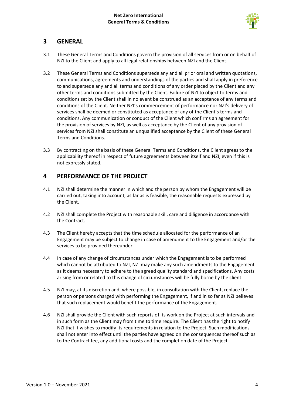

### <span id="page-3-0"></span>**3 GENERAL**

- 3.1 These General Terms and Conditions govern the provision of all services from or on behalf of NZI to the Client and apply to all legal relationships between NZI and the Client.
- 3.2 These General Terms and Conditions supersede any and all prior oral and written quotations, communications, agreements and understandings of the parties and shall apply in preference to and supersede any and all terms and conditions of any order placed by the Client and any other terms and conditions submitted by the Client. Failure of NZI to object to terms and conditions set by the Client shall in no event be construed as an acceptance of any terms and conditions of the Client. Neither NZI's commencement of performance nor NZI's delivery of services shall be deemed or constituted as acceptance of any of the Client's terms and conditions. Any communication or conduct of the Client which confirms an agreement for the provision of services by NZI, as well as acceptance by the Client of any provision of services from NZI shall constitute an unqualified acceptance by the Client of these General Terms and Conditions.
- 3.3 By contracting on the basis of these General Terms and Conditions, the Client agrees to the applicability thereof in respect of future agreements between itself and NZI, even if this is not expressly stated.

#### <span id="page-3-1"></span>**4 PERFORMANCE OF THE PROJECT**

- 4.1 NZI shall determine the manner in which and the person by whom the Engagement will be carried out, taking into account, as far as is feasible, the reasonable requests expressed by the Client.
- 4.2 NZI shall complete the Project with reasonable skill, care and diligence in accordance with the Contract.
- 4.3 The Client hereby accepts that the time schedule allocated for the performance of an Engagement may be subject to change in case of amendment to the Engagement and/or the services to be provided thereunder.
- 4.4 In case of any change of circumstances under which the Engagement is to be performed which cannot be attributed to NZI, NZI may make any such amendments to the Engagement as it deems necessary to adhere to the agreed quality standard and specifications. Any costs arising from or related to this change of circumstances will be fully borne by the client.
- 4.5 NZI may, at its discretion and, where possible, in consultation with the Client, replace the person or persons charged with performing the Engagement, if and in so far as NZI believes that such replacement would benefit the performance of the Engagement.
- 4.6 NZI shall provide the Client with such reports of its work on the Project at such intervals and in such form as the Client may from time to time require. The Client has the right to notify NZI that it wishes to modify its requirements in relation to the Project. Such modifications shall not enter into effect until the parties have agreed on the consequences thereof such as to the Contract fee, any additional costs and the completion date of the Project.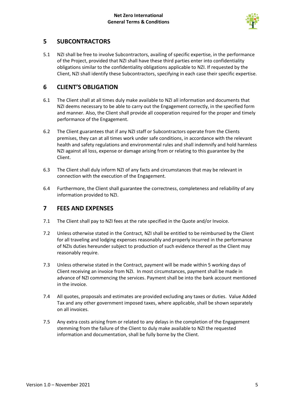

#### <span id="page-4-0"></span>**5 SUBCONTRACTORS**

5.1 NZI shall be free to involve Subcontractors, availing of specific expertise, in the performance of the Project, provided that NZI shall have these third parties enter into confidentiality obligations similar to the confidentiality obligations applicable to NZI. If requested by the Client, NZI shall identify these Subcontractors, specifying in each case their specific expertise.

#### <span id="page-4-1"></span>**6 CLIENT'S OBLIGATION**

- 6.1 The Client shall at all times duly make available to NZI all information and documents that NZI deems necessary to be able to carry out the Engagement correctly, in the specified form and manner. Also, the Client shall provide all cooperation required for the proper and timely performance of the Engagement.
- 6.2 The Client guarantees that if any NZI staff or Subcontractors operate from the Clients premises, they can at all times work under safe conditions, in accordance with the relevant health and safety regulations and environmental rules and shall indemnify and hold harmless NZI against all loss, expense or damage arising from or relating to this guarantee by the Client.
- 6.3 The Client shall duly inform NZI of any facts and circumstances that may be relevant in connection with the execution of the Engagement.
- 6.4 Furthermore, the Client shall guarantee the correctness, completeness and reliability of any information provided to NZI.

#### <span id="page-4-2"></span>**7 FEES AND EXPENSES**

- 7.1 The Client shall pay to NZI fees at the rate specified in the Quote and/or Invoice.
- 7.2 Unless otherwise stated in the Contract, NZI shall be entitled to be reimbursed by the Client for all traveling and lodging expenses reasonably and properly incurred in the performance of NZIs duties hereunder subject to production of such evidence thereof as the Client may reasonably require.
- 7.3 Unless otherwise stated in the Contract, payment will be made within 5 working days of Client receiving an invoice from NZI. In most circumstances, payment shall be made in advance of NZI commencing the services. Payment shall be into the bank account mentioned in the invoice.
- 7.4 All quotes, proposals and estimates are provided excluding any taxes or duties. Value Added Tax and any other government imposed taxes, where applicable, shall be shown separately on all invoices.
- 7.5 Any extra costs arising from or related to any delays in the completion of the Engagement stemming from the failure of the Client to duly make available to NZI the requested information and documentation, shall be fully borne by the Client.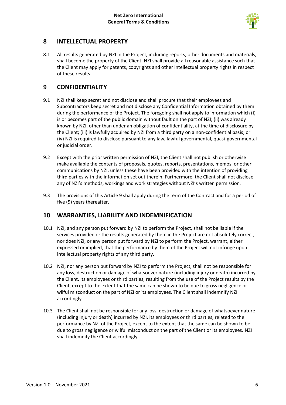

#### <span id="page-5-0"></span>**8 INTELLECTUAL PROPERTY**

8.1 All results generated by NZI in the Project, including reports, other documents and materials, shall become the property of the Client. NZI shall provide all reasonable assistance such that the Client may apply for patents, copyrights and other intellectual property rights in respect of these results.

#### <span id="page-5-1"></span>**9 CONFIDENTIALITY**

- 9.1 NZI shall keep secret and not disclose and shall procure that their employees and Subcontractors keep secret and not disclose any Confidential Information obtained by them during the performance of the Project. The foregoing shall not apply to information which (i) is or becomes part of the public domain without fault on the part of NZI; (ii) was already known by NZI, other than under an obligation of confidentiality, at the time of disclosure by the Client; (iii) is lawfully acquired by NZI from a third party on a non-confidential basis; or (iv) NZI is required to disclose pursuant to any law, lawful governmental, quasi-governmental or judicial order.
- 9.2 Except with the prior written permission of NZI, the Client shall not publish or otherwise make available the contents of proposals, quotes, reports, presentations, memos, or other communications by NZI, unless these have been provided with the intention of providing third parties with the information set out therein. Furthermore, the Client shall not disclose any of NZI's methods, workings and work strategies without NZI's written permission.
- 9.3 The provisions of this Article 9 shall apply during the term of the Contract and for a period of five (5) years thereafter.

#### <span id="page-5-2"></span>**10 WARRANTIES, LIABILITY AND INDEMNIFICATION**

- 10.1 NZI, and any person put forward by NZI to perform the Project, shall not be liable if the services provided or the results generated by them in the Project are not absolutely correct, nor does NZI, or any person put forward by NZI to perform the Project, warrant, either expressed or implied, that the performance by them of the Project will not infringe upon intellectual property rights of any third party.
- 10.2 NZI, nor any person put forward by NZI to perform the Project, shall not be responsible for any loss, destruction or damage of whatsoever nature (including injury or death) incurred by the Client, its employees or third parties, resulting from the use of the Project results by the Client, except to the extent that the same can be shown to be due to gross negligence or wilful misconduct on the part of NZI or its employees. The Client shall indemnify NZI accordingly.
- 10.3 The Client shall not be responsible for any loss, destruction or damage of whatsoever nature (including injury or death) incurred by NZI, its employees or third parties, related to the performance by NZI of the Project, except to the extent that the same can be shown to be due to gross negligence or wilful misconduct on the part of the Client or its employees. NZI shall indemnify the Client accordingly.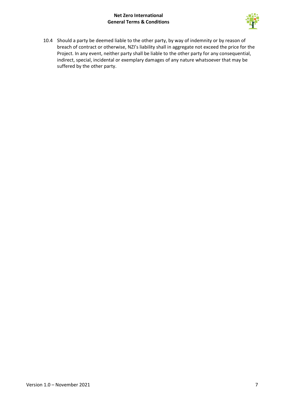#### **Net Zero International General Terms & Conditions**



10.4 Should a party be deemed liable to the other party, by way of indemnity or by reason of breach of contract or otherwise, NZI's liability shall in aggregate not exceed the price for the Project. In any event, neither party shall be liable to the other party for any consequential, indirect, special, incidental or exemplary damages of any nature whatsoever that may be suffered by the other party.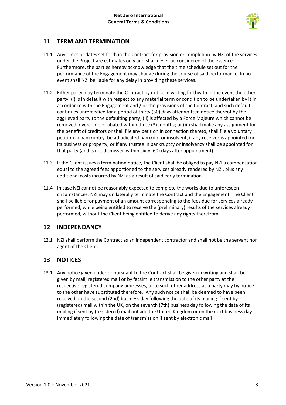

### <span id="page-7-0"></span>**11 TERM AND TERMINATION**

- 11.1 Any times or dates set forth in the Contract for provision or completion by NZI of the services under the Project are estimates only and shall never be considered of the essence. Furthermore, the parties hereby acknowledge that the time schedule set out for the performance of the Engagement may change during the course of said performance. In no event shall NZI be liable for any delay in providing these services.
- 11.2 Either party may terminate the Contract by notice in writing forthwith in the event the other party: (i) is in default with respect to any material term or condition to be undertaken by it in accordance with the Engagement and / or the provisions of the Contract, and such default continues unremedied for a period of thirty (30) days after written notice thereof by the aggrieved party to the defaulting party; (ii) is affected by a Force Majeure which cannot be removed, overcome or abated within three (3) months; or (iii) shall make any assignment for the benefit of creditors or shall file any petition in connection thereto, shall file a voluntary petition in bankruptcy, be adjudicated bankrupt or insolvent, if any receiver is appointed for its business or property, or if any trustee in bankruptcy or insolvency shall be appointed for that party (and is not dismissed within sixty (60) days after appointment).
- 11.3 If the Client issues a termination notice, the Client shall be obliged to pay NZI a compensation equal to the agreed fees apportioned to the services already rendered by NZI, plus any additional costs incurred by NZI as a result of said early termination.
- 11.4 In case NZI cannot be reasonably expected to complete the works due to unforeseen circumstances, NZI may unilaterally terminate the Contract and the Engagement. The Client shall be liable for payment of an amount corresponding to the fees due for services already performed, while being entitled to receive the (preliminary) results of the services already performed, without the Client being entitled to derive any rights therefrom.

#### <span id="page-7-1"></span>**12 INDEPENDANCY**

12.1 NZI shall perform the Contract as an independent contractor and shall not be the servant nor agent of the Client.

#### <span id="page-7-2"></span>**13 NOTICES**

13.1 Any notice given under or pursuant to the Contract shall be given in writing and shall be given by mail, registered mail or by facsimile transmission to the other party at the respective registered company addresses, or to such other address as a party may by notice to the other have substituted therefore. Any such notice shall be deemed to have been received on the second (2nd) business day following the date of its mailing if sent by (registered) mail within the UK, on the seventh (7th) business day following the date of its mailing if sent by (registered) mail outside the United Kingdom or on the next business day immediately following the date of transmission if sent by electronic mail.